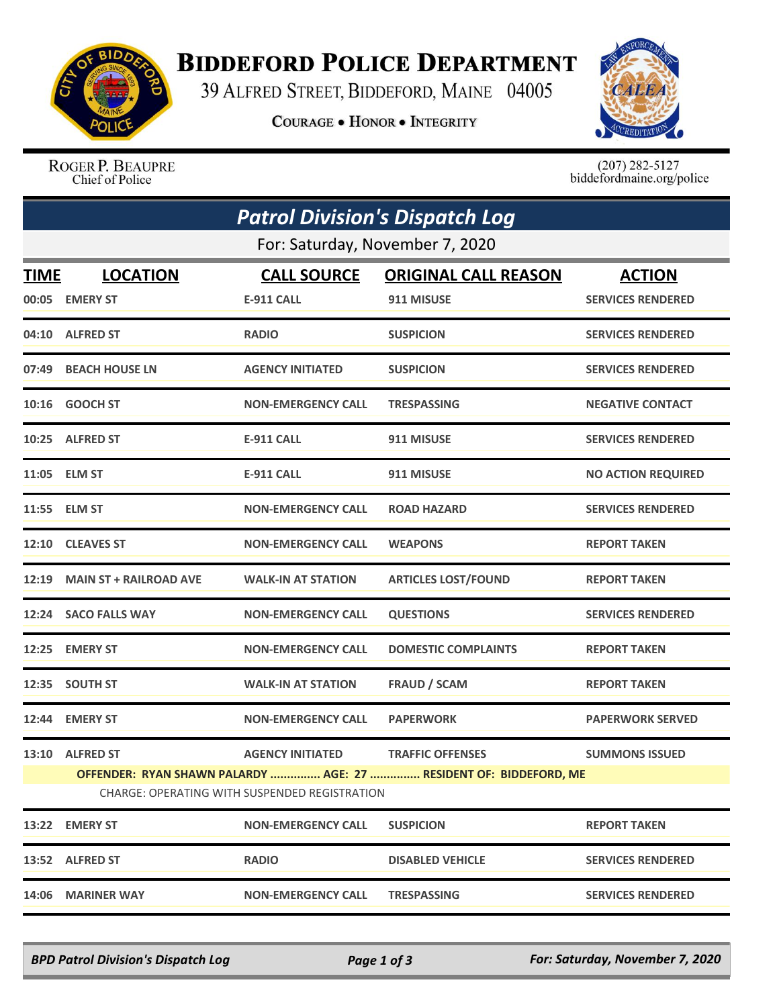

## **BIDDEFORD POLICE DEPARTMENT**

39 ALFRED STREET, BIDDEFORD, MAINE 04005

**COURAGE . HONOR . INTEGRITY** 



ROGER P. BEAUPRE<br>Chief of Police

 $(207)$  282-5127<br>biddefordmaine.org/police

| <b>Patrol Division's Dispatch Log</b> |                                                                                                                           |                           |                             |                           |  |  |  |  |
|---------------------------------------|---------------------------------------------------------------------------------------------------------------------------|---------------------------|-----------------------------|---------------------------|--|--|--|--|
| For: Saturday, November 7, 2020       |                                                                                                                           |                           |                             |                           |  |  |  |  |
| TIME                                  | <b>LOCATION</b>                                                                                                           | <b>CALL SOURCE</b>        | <b>ORIGINAL CALL REASON</b> | <b>ACTION</b>             |  |  |  |  |
| 00:05                                 | <b>EMERY ST</b>                                                                                                           | <b>E-911 CALL</b>         | 911 MISUSE                  | <b>SERVICES RENDERED</b>  |  |  |  |  |
|                                       | 04:10 ALFRED ST                                                                                                           | <b>RADIO</b>              | <b>SUSPICION</b>            | <b>SERVICES RENDERED</b>  |  |  |  |  |
|                                       | 07:49 BEACH HOUSE LN                                                                                                      | <b>AGENCY INITIATED</b>   | <b>SUSPICION</b>            | <b>SERVICES RENDERED</b>  |  |  |  |  |
| 10:16                                 | <b>GOOCH ST</b>                                                                                                           | <b>NON-EMERGENCY CALL</b> | <b>TRESPASSING</b>          | <b>NEGATIVE CONTACT</b>   |  |  |  |  |
|                                       | 10:25 ALFRED ST                                                                                                           | <b>E-911 CALL</b>         | 911 MISUSE                  | <b>SERVICES RENDERED</b>  |  |  |  |  |
|                                       | 11:05 ELM ST                                                                                                              | <b>E-911 CALL</b>         | 911 MISUSE                  | <b>NO ACTION REQUIRED</b> |  |  |  |  |
|                                       | 11:55 ELM ST                                                                                                              | <b>NON-EMERGENCY CALL</b> | <b>ROAD HAZARD</b>          | <b>SERVICES RENDERED</b>  |  |  |  |  |
|                                       | 12:10 CLEAVES ST                                                                                                          | <b>NON-EMERGENCY CALL</b> | <b>WEAPONS</b>              | <b>REPORT TAKEN</b>       |  |  |  |  |
| 12:19                                 | <b>MAIN ST + RAILROAD AVE</b>                                                                                             | <b>WALK-IN AT STATION</b> | <b>ARTICLES LOST/FOUND</b>  | <b>REPORT TAKEN</b>       |  |  |  |  |
|                                       | 12:24 SACO FALLS WAY                                                                                                      | <b>NON-EMERGENCY CALL</b> | <b>QUESTIONS</b>            | <b>SERVICES RENDERED</b>  |  |  |  |  |
| 12:25                                 | <b>EMERY ST</b>                                                                                                           | <b>NON-EMERGENCY CALL</b> | <b>DOMESTIC COMPLAINTS</b>  | <b>REPORT TAKEN</b>       |  |  |  |  |
|                                       | 12:35 SOUTH ST                                                                                                            | <b>WALK-IN AT STATION</b> | <b>FRAUD / SCAM</b>         | <b>REPORT TAKEN</b>       |  |  |  |  |
| 12:44                                 | <b>EMERY ST</b>                                                                                                           | <b>NON-EMERGENCY CALL</b> | <b>PAPERWORK</b>            | <b>PAPERWORK SERVED</b>   |  |  |  |  |
|                                       | 13:10 ALFRED ST                                                                                                           | <b>AGENCY INITIATED</b>   | <b>TRAFFIC OFFENSES</b>     | <b>SUMMONS ISSUED</b>     |  |  |  |  |
|                                       | OFFENDER: RYAN SHAWN PALARDY  AGE: 27  RESIDENT OF: BIDDEFORD, ME<br><b>CHARGE: OPERATING WITH SUSPENDED REGISTRATION</b> |                           |                             |                           |  |  |  |  |
| 13:22                                 | <b>EMERY ST</b>                                                                                                           | <b>NON-EMERGENCY CALL</b> | <b>SUSPICION</b>            | <b>REPORT TAKEN</b>       |  |  |  |  |
| 13:52                                 | <b>ALFRED ST</b>                                                                                                          | <b>RADIO</b>              | <b>DISABLED VEHICLE</b>     | <b>SERVICES RENDERED</b>  |  |  |  |  |
| 14:06                                 | <b>MARINER WAY</b>                                                                                                        | <b>NON-EMERGENCY CALL</b> | <b>TRESPASSING</b>          | <b>SERVICES RENDERED</b>  |  |  |  |  |

*BPD Patrol Division's Dispatch Log Page 1 of 3 For: Saturday, November 7, 2020*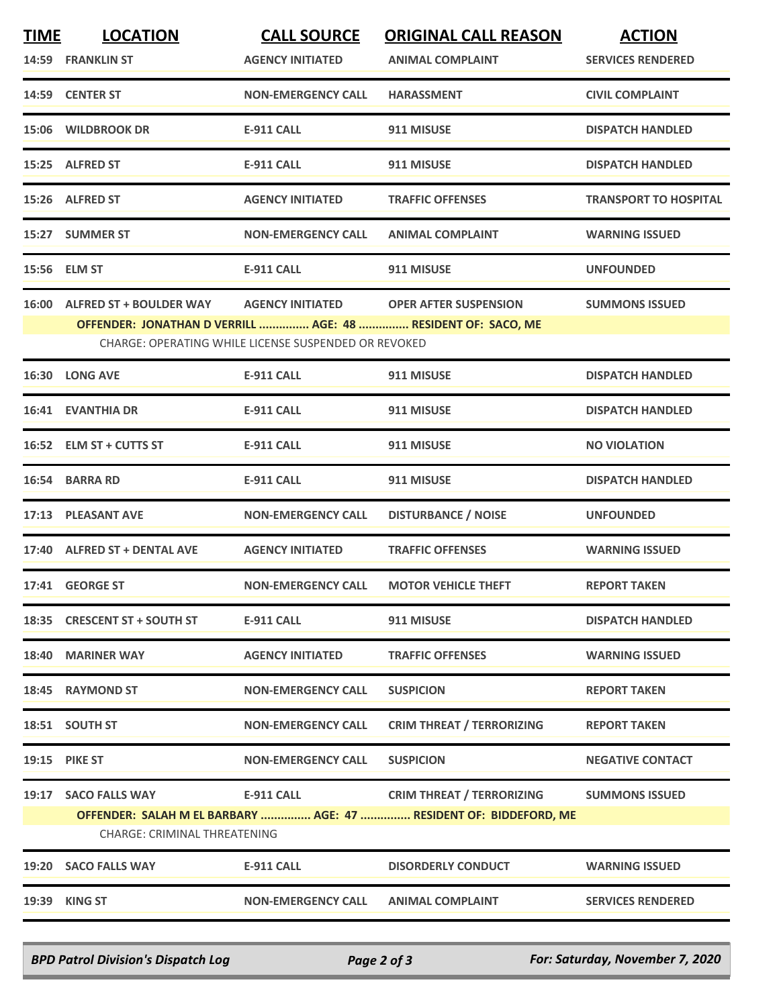| <b>TIME</b> | <b>LOCATION</b>                                                                               | <b>CALL SOURCE</b>                                                              | <b>ORIGINAL CALL REASON</b>                                                                           | <b>ACTION</b>                |
|-------------|-----------------------------------------------------------------------------------------------|---------------------------------------------------------------------------------|-------------------------------------------------------------------------------------------------------|------------------------------|
|             | 14:59 FRANKLIN ST                                                                             | <b>AGENCY INITIATED</b>                                                         | <b>ANIMAL COMPLAINT</b>                                                                               | <b>SERVICES RENDERED</b>     |
|             | 14:59 CENTER ST                                                                               | <b>NON-EMERGENCY CALL</b>                                                       | <b>HARASSMENT</b>                                                                                     | <b>CIVIL COMPLAINT</b>       |
|             | 15:06 WILDBROOK DR                                                                            | <b>E-911 CALL</b>                                                               | 911 MISUSE                                                                                            | <b>DISPATCH HANDLED</b>      |
|             | 15:25 ALFRED ST                                                                               | <b>E-911 CALL</b>                                                               | 911 MISUSE                                                                                            | <b>DISPATCH HANDLED</b>      |
|             | 15:26 ALFRED ST                                                                               | <b>AGENCY INITIATED</b>                                                         | <b>TRAFFIC OFFENSES</b>                                                                               | <b>TRANSPORT TO HOSPITAL</b> |
|             | 15:27 SUMMER ST                                                                               | <b>NON-EMERGENCY CALL</b>                                                       | <b>ANIMAL COMPLAINT</b>                                                                               | <b>WARNING ISSUED</b>        |
|             | 15:56 ELM ST                                                                                  | <b>E-911 CALL</b>                                                               | 911 MISUSE                                                                                            | <b>UNFOUNDED</b>             |
|             | 16:00 ALFRED ST + BOULDER WAY<br>OFFENDER: JONATHAN D VERRILL  AGE: 48  RESIDENT OF: SACO, ME | <b>AGENCY INITIATED</b><br>CHARGE: OPERATING WHILE LICENSE SUSPENDED OR REVOKED | <b>OPER AFTER SUSPENSION</b>                                                                          | <b>SUMMONS ISSUED</b>        |
|             | 16:30 LONG AVE                                                                                | <b>E-911 CALL</b>                                                               | 911 MISUSE                                                                                            | <b>DISPATCH HANDLED</b>      |
|             | <b>16:41 EVANTHIA DR</b>                                                                      | <b>E-911 CALL</b>                                                               | 911 MISUSE                                                                                            | <b>DISPATCH HANDLED</b>      |
|             | 16:52 ELM ST + CUTTS ST                                                                       | <b>E-911 CALL</b>                                                               | 911 MISUSE                                                                                            | <b>NO VIOLATION</b>          |
|             | 16:54 BARRA RD                                                                                | <b>E-911 CALL</b>                                                               | 911 MISUSE                                                                                            | <b>DISPATCH HANDLED</b>      |
|             | 17:13 PLEASANT AVE                                                                            | <b>NON-EMERGENCY CALL</b>                                                       | <b>DISTURBANCE / NOISE</b>                                                                            | <b>UNFOUNDED</b>             |
|             | 17:40 ALFRED ST + DENTAL AVE                                                                  | <b>AGENCY INITIATED</b>                                                         | <b>TRAFFIC OFFENSES</b>                                                                               | <b>WARNING ISSUED</b>        |
|             | 17:41 GEORGE ST                                                                               | <b>NON-EMERGENCY CALL</b>                                                       | <b>MOTOR VEHICLE THEFT</b>                                                                            | <b>REPORT TAKEN</b>          |
|             | 18:35 CRESCENT ST + SOUTH ST                                                                  | <b>E-911 CALL</b>                                                               | 911 MISUSE                                                                                            | <b>DISPATCH HANDLED</b>      |
|             | 18:40 MARINER WAY                                                                             | <b>AGENCY INITIATED</b>                                                         | <b>TRAFFIC OFFENSES</b>                                                                               | <b>WARNING ISSUED</b>        |
|             | 18:45 RAYMOND ST                                                                              | <b>NON-EMERGENCY CALL</b>                                                       | <b>SUSPICION</b>                                                                                      | <b>REPORT TAKEN</b>          |
|             | 18:51 SOUTH ST                                                                                | <b>NON-EMERGENCY CALL</b>                                                       | <b>CRIM THREAT / TERRORIZING</b>                                                                      | <b>REPORT TAKEN</b>          |
|             | 19:15 PIKE ST                                                                                 | <b>NON-EMERGENCY CALL</b>                                                       | <b>SUSPICION</b>                                                                                      | <b>NEGATIVE CONTACT</b>      |
| 19:17       | <b>SACO FALLS WAY</b><br>CHARGE: CRIMINAL THREATENING                                         | <b>E-911 CALL</b>                                                               | <b>CRIM THREAT / TERRORIZING</b><br>OFFENDER: SALAH M EL BARBARY  AGE: 47  RESIDENT OF: BIDDEFORD, ME | <b>SUMMONS ISSUED</b>        |
| 19:20       | <b>SACO FALLS WAY</b>                                                                         | <b>E-911 CALL</b>                                                               | <b>DISORDERLY CONDUCT</b>                                                                             | <b>WARNING ISSUED</b>        |
|             | 19:39 KING ST                                                                                 | <b>NON-EMERGENCY CALL</b>                                                       | <b>ANIMAL COMPLAINT</b>                                                                               | <b>SERVICES RENDERED</b>     |

*BPD Patrol Division's Dispatch Log Page 2 of 3 For: Saturday, November 7, 2020*